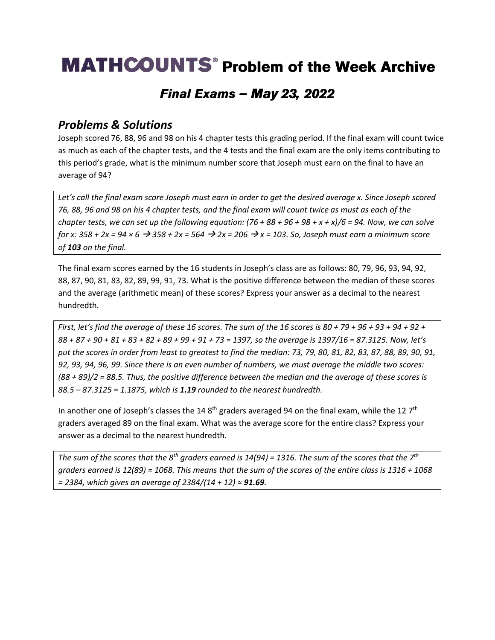## **MATHCOUNTS**<sup>®</sup> Problem of the Week Archive

### **Final Exams - May 23, 2022**

#### *Problems & Solutions*

Joseph scored 76, 88, 96 and 98 on his 4 chapter tests this grading period. If the final exam will count twice as much as each of the chapter tests, and the 4 tests and the final exam are the only items contributing to this period's grade, what is the minimum number score that Joseph must earn on the final to have an average of 94?

*Let's call the final exam score Joseph must earn in order to get the desired average x. Since Joseph scored 76, 88, 96 and 98 on his 4 chapter tests, and the final exam will count twice as must as each of the chapter tests, we can set up the following equation: (76 + 88 + 96 + 98 + x + x)/6 = 94. Now, we can solve for x: 358 + 2x = 94 × 6* → *358 + 2x = 564* → *2x = 206* → *x = 103. So, Joseph must earn a minimum score of 103 on the final.* 

The final exam scores earned by the 16 students in Joseph's class are as follows: 80, 79, 96, 93, 94, 92, 88, 87, 90, 81, 83, 82, 89, 99, 91, 73. What is the positive difference between the median of these scores and the average (arithmetic mean) of these scores? Express your answer as a decimal to the nearest hundredth.

*First, let's find the average of these 16 scores. The sum of the 16 scores is 80 + 79 + 96 + 93 + 94 + 92 + 88 + 87 + 90 + 81 + 83 + 82 + 89 + 99 + 91 + 73 = 1397, so the average is 1397/16 = 87.3125. Now, let's put the scores in order from least to greatest to find the median: 73, 79, 80, 81, 82, 83, 87, 88, 89, 90, 91, 92, 93, 94, 96, 99. Since there is an even number of numbers, we must average the middle two scores: (88 + 89)/2 = 88.5. Thus, the positive difference between the median and the average of these scores is 88.5 – 87.3125 = 1.1875, which is 1.19 rounded to the nearest hundredth.* 

In another one of Joseph's classes the 14 8<sup>th</sup> graders averaged 94 on the final exam, while the 12 7<sup>th</sup> graders averaged 89 on the final exam. What was the average score for the entire class? Express your answer as a decimal to the nearest hundredth.

*The sum of the scores that the 8th graders earned is 14(94) = 1316. The sum of the scores that the 7th graders earned is 12(89) = 1068. This means that the sum of the scores of the entire class is 1316 + 1068 = 2384, which gives an average of 2384/(14 + 12) ≈ 91.69.*